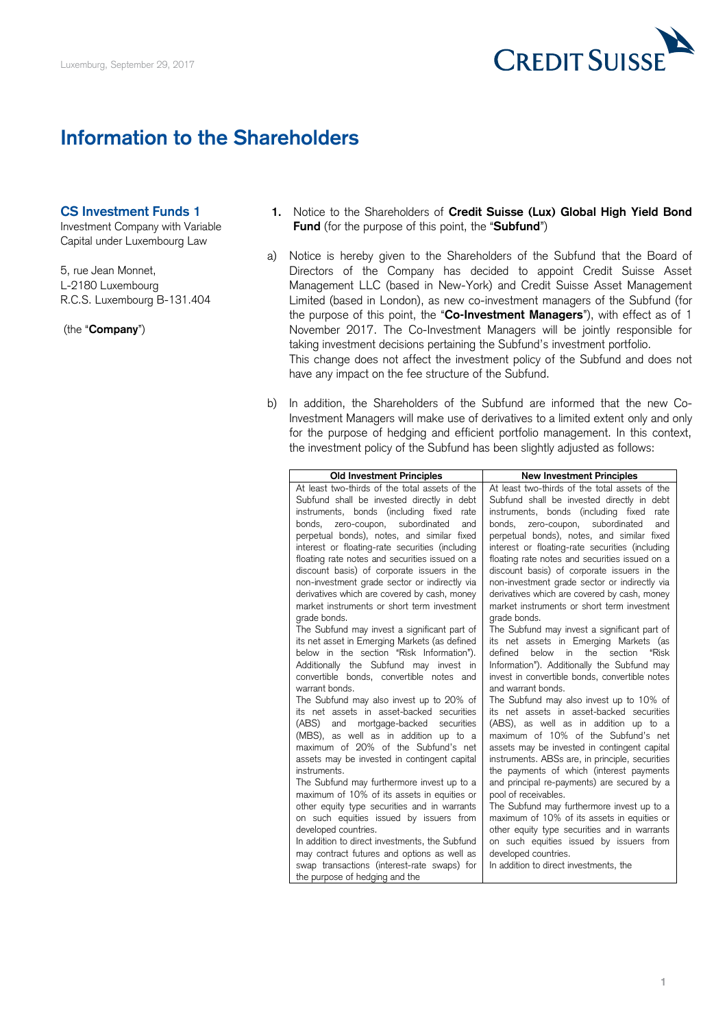

## **Information to the Shareholders**

## <span id="page-0-0"></span>**CS Investment Funds 1**

Capital under Luxembourg Law

- 1. Notice to the Shareholders of Credit Suisse (Lux) Global High Yield Bond Investment Company with Variable **Fund** (for the purpose of this point, the "**Subfund**")
- a) Notice is hereby given to the Shareholders of the Subfund that the Board of 5, rue Jean Monnet, Directors of the Company has decided to appoint Credit Suisse Asset L-2180 Luxembourg Management LLC (based in New-York) and Credit Suisse Asset Management R.C.S. Luxembourg B-131.404 Limited (based in London), as new co-investment managers of the Subfund (for the purpose of this point, the "**Co-Investment Managers**"), with effect as of 1 (the "**Company**") **November 2017. The Co-Investment Managers will be jointly responsible for**  This change does not affect the investment policy of the Subfund and does not taking investment decisions pertaining the Subfund's investment portfolio. have any impact on the fee structure of the Subfund.
	- b) In addition, the Shareholders of the Subfund are informed that the new Co- Investment Managers will make use of derivatives to a limited extent only and only for the purpose of hedging and efficient portfolio management. In this context, the investment policy of the Subfund has been slightly adjusted as follows:

<span id="page-0-1"></span>

| <b>Old Investment Principles</b>                | <b>New Investment Principles</b>                |
|-------------------------------------------------|-------------------------------------------------|
| At least two-thirds of the total assets of the  | At least two-thirds of the total assets of the  |
| Subfund shall be invested directly in debt      | Subfund shall be invested directly in debt      |
| instruments, bonds (including fixed rate        | instruments, bonds (including fixed<br>rate     |
| zero-coupon,<br>subordinated<br>and<br>bonds,   | bonds.<br>zero-coupon,<br>subordinated<br>and   |
| perpetual bonds), notes, and similar fixed      | perpetual bonds), notes, and similar fixed      |
| interest or floating-rate securities (including | interest or floating-rate securities (including |
| floating rate notes and securities issued on a  | floating rate notes and securities issued on a  |
| discount basis) of corporate issuers in the     | discount basis) of corporate issuers in the     |
| non-investment grade sector or indirectly via   | non-investment grade sector or indirectly via   |
| derivatives which are covered by cash, money    | derivatives which are covered by cash, money    |
| market instruments or short term investment     | market instruments or short term investment     |
| grade bonds.                                    | grade bonds.                                    |
| The Subfund may invest a significant part of    | The Subfund may invest a significant part of    |
| its net asset in Emerging Markets (as defined   | its net assets in Emerging Markets (as          |
| below in the section "Risk Information").       | below<br>the section<br>defined<br>in<br>"Risk  |
| Additionally the Subfund may invest in          | Information"). Additionally the Subfund may     |
| convertible bonds, convertible notes and        | invest in convertible bonds, convertible notes  |
| warrant honds.                                  | and warrant honds.                              |
| The Subfund may also invest up to 20% of        | The Subfund may also invest up to 10% of        |
| its net assets in asset-backed securities       | its net assets in asset-backed securities       |
| and<br>(ABS)<br>mortgage-backed<br>securities   | (ABS), as well as in addition up to a           |
| (MBS), as well as in addition up to a           | maximum of 10% of the Subfund's net             |
| maximum of 20% of the Subfund's net             | assets may be invested in contingent capital    |
| assets may be invested in contingent capital    | instruments. ABSs are, in principle, securities |
| instruments.                                    | the payments of which (interest payments        |
| The Subfund may furthermore invest up to a      | and principal re-payments) are secured by a     |
| maximum of 10% of its assets in equities or     | pool of receivables.                            |
| other equity type securities and in warrants    | The Subfund may furthermore invest up to a      |
| on such equities issued by issuers from         | maximum of 10% of its assets in equities or     |
| developed countries.                            | other equity type securities and in warrants    |
| In addition to direct investments, the Subfund  | on such equities issued by issuers from         |
| may contract futures and options as well as     | developed countries.                            |
| swap transactions (interest-rate swaps) for     | In addition to direct investments, the          |
| the purpose of hedging and the                  |                                                 |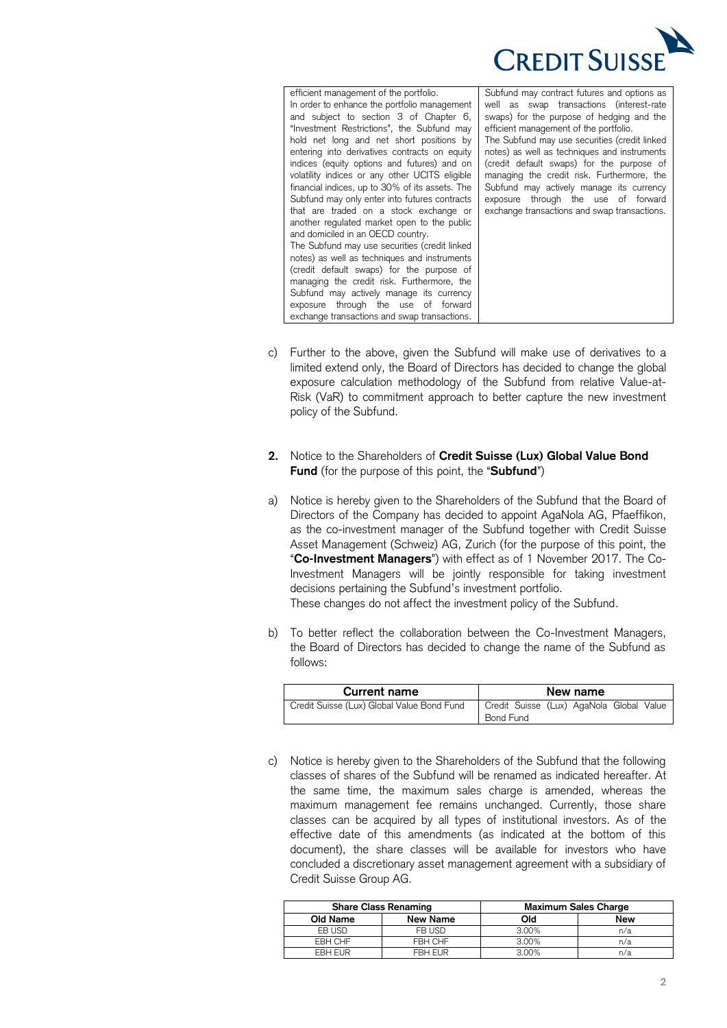

efficient management of the portfolio. In order to enhance the portfolio management and subject to section 3 of Chapter 6, "Investment Restrictions", the Subfund may | efficient management of the portfolio. hold net long and net short positions by entering into derivatives contracts on equity indices (equity options and futures) and on volatility indices or any other UCITS eligible financial indices, up to 30% of its assets. The Subfund may only enter into futures contracts that are traded on a stock exchange or another regulated market open to the public and domiciled in an OECD country. The Subfund may use securities (credit linked notes) as well as techniques and instruments (credit default swaps) for the purpose of managing the credit risk. Furthermore, the Subfund may actively manage its currency exposure through the use of forward exchange transactions and swap transactions. efficient management of the portfolio. Subfund may contract futures and options as In order to enhance the portfolio management  $\vert$  well as swap transactions (interest-rate and subject to section  $3$  of Chapter 6, swaps) for the purpose of hedging and the efficient management of the portfolio. hold net long and net short positions by The Subfund may use securities (credit linked entering into derivatives contracts on equity | notes) as well as techniques and instruments indices (equity options and futures) and on (credit default swaps) for the purpose of volatility indices or any other UCITS eligible managing the credit risk. Furthermore, the financial indices, up to 30% of its assets. The  $\vert$  Subfund may actively manage its currency Subfund may only enter into futures contracts  $\vert$  exposure through the use of forward that are traded on a stock exchange or exchange transactions and swap transactions.

- c) Further to the above, given the Subfund will make use of derivatives to a limited extend only, the Board of Directors has decided to change the global exposure calculation methodology of the Subfund from relative Value-at- Risk (VaR) to commitment approach to better capture the new investment policy of the Subfund.
- <span id="page-1-0"></span> **2.** Notice to the Shareholders of **Credit Suisse (Lux) Global Value Bond Fund** (for the purpose of this point, the "**Subfund**")
- <span id="page-1-1"></span> a) Notice is hereby given to the Shareholders of the Subfund that the Board of Directors of the Company has decided to appoint AgaNola AG, Pfaeffikon, as the co-investment manager of the Subfund together with Credit Suisse Asset Management (Schweiz) AG, Zurich (for the purpose of this point, the "**Co-Investment Managers**") with effect as of 1 November 2017. The Co- Investment Managers will be jointly responsible for taking investment decisions pertaining the Subfund's investment portfolio. These changes do not affect the investment policy of the Subfund.
- b) To better reflect the collaboration between the Co-Investment Managers, the Board of Directors has decided to change the name of the Subfund as follows:

| <b>Current name</b>                        | New name                                                     |  |
|--------------------------------------------|--------------------------------------------------------------|--|
| Credit Suisse (Lux) Global Value Bond Fund | Credit Suisse (Lux) AgaNola Global Value<br><b>Bond Fund</b> |  |

 c) Notice is hereby given to the Shareholders of the Subfund that the following classes of shares of the Subfund will be renamed as indicated hereafter. At the same time, the maximum sales charge is amended, whereas the maximum management fee remains unchanged. Currently, those share classes can be acquired by all types of institutional investors. As of the effective date of this amendments (as indicated at the bottom of this document), the share classes will be available for investors who have concluded a discretionary asset management agreement with a subsidiary of Credit Suisse Group AG.

| <b>Share Class Renaming</b> |          | <b>Maximum Sales Charge</b> |     |
|-----------------------------|----------|-----------------------------|-----|
| Old Name                    | New Name | Old                         | New |
| EB USD                      | FB USD   | 3.00%                       | n/a |
| EBH CHF                     | FBH CHF  | 3.00%                       | n/a |
| <b>EBH EUR</b>              | FBH EUR  | 3.00%                       | n/a |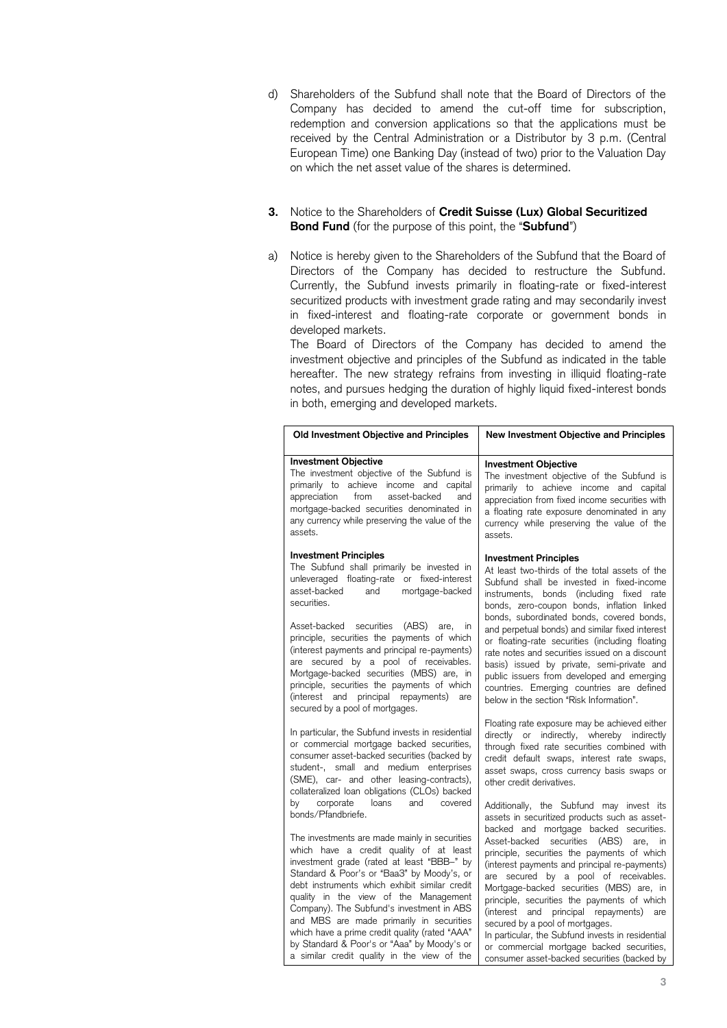- d) Shareholders of the Subfund shall note that the Board of Directors of the Company has decided to amend the cut-off time for subscription, redemption and conversion applications so that the applications must be received by the Central Administration or a Distributor by 3 p.m. (Central European Time) one Banking Day (instead of two) prior to the Valuation Day on which the net asset value of the shares is determined.
- <span id="page-2-0"></span> **3.** Notice to the Shareholders of **Credit Suisse (Lux) Global Securitized Bond Fund** (for the purpose of this point, the "**Subfund**")
- <span id="page-2-1"></span> a) Notice is hereby given to the Shareholders of the Subfund that the Board of Directors of the Company has decided to restructure the Subfund. Currently, the Subfund invests primarily in floating-rate or fixed-interest securitized products with investment grade rating and may secondarily invest in fixed-interest and floating-rate corporate or government bonds in developed markets.

 The Board of Directors of the Company has decided to amend the investment objective and principles of the Subfund as indicated in the table hereafter. The new strategy refrains from investing in illiquid floating-rate notes, and pursues hedging the duration of highly liquid fixed-interest bonds in both, emerging and developed markets.

| Old Investment Objective and Principles                                                                                                                                                                                                                                                                                                                                                                                                                                                                                 | <b>New Investment Objective and Principles</b>                                                                                                                                                                                                                                                                                                                                                                                                                                                                 |
|-------------------------------------------------------------------------------------------------------------------------------------------------------------------------------------------------------------------------------------------------------------------------------------------------------------------------------------------------------------------------------------------------------------------------------------------------------------------------------------------------------------------------|----------------------------------------------------------------------------------------------------------------------------------------------------------------------------------------------------------------------------------------------------------------------------------------------------------------------------------------------------------------------------------------------------------------------------------------------------------------------------------------------------------------|
| <b>Investment Objective</b><br>The investment objective of the Subfund is<br>primarily to achieve income and capital<br>appreciation<br>from<br>asset-backed<br>and<br>mortgage-backed securities denominated in<br>any currency while preserving the value of the<br>assets.                                                                                                                                                                                                                                           | <b>Investment Objective</b><br>The investment objective of the Subfund is<br>primarily to achieve income and capital<br>appreciation from fixed income securities with<br>a floating rate exposure denominated in any<br>currency while preserving the value of the<br>assets.                                                                                                                                                                                                                                 |
| <b>Investment Principles</b><br>The Subfund shall primarily be invested in<br>unleveraged floating-rate or fixed-interest<br>asset-backed<br>mortgage-backed<br>and<br>securities.<br>securities<br>Asset-backed<br>(ABS) are,<br>in                                                                                                                                                                                                                                                                                    | <b>Investment Principles</b><br>At least two-thirds of the total assets of the<br>Subfund shall be invested in fixed-income<br>instruments, bonds (including fixed rate<br>bonds, zero-coupon bonds, inflation linked<br>bonds, subordinated bonds, covered bonds,<br>and perpetual bonds) and similar fixed interest                                                                                                                                                                                          |
| principle, securities the payments of which<br>(interest payments and principal re-payments)<br>are secured by a pool of receivables.<br>Mortgage-backed securities (MBS) are, in<br>principle, securities the payments of which<br>(interest and principal repayments) are<br>secured by a pool of mortgages.                                                                                                                                                                                                          | or floating-rate securities (including floating<br>rate notes and securities issued on a discount<br>basis) issued by private, semi-private and<br>public issuers from developed and emerging<br>countries. Emerging countries are defined<br>below in the section "Risk Information".                                                                                                                                                                                                                         |
| In particular, the Subfund invests in residential<br>or commercial mortgage backed securities,<br>consumer asset-backed securities (backed by<br>student-, small and medium enterprises<br>(SME), car- and other leasing-contracts),<br>collateralized loan obligations (CLOs) backed                                                                                                                                                                                                                                   | Floating rate exposure may be achieved either<br>directly or indirectly, whereby indirectly<br>through fixed rate securities combined with<br>credit default swaps, interest rate swaps,<br>asset swaps, cross currency basis swaps or<br>other credit derivatives.                                                                                                                                                                                                                                            |
| corporate<br>loans<br>and<br>covered<br>by<br>bonds/Pfandbriefe.                                                                                                                                                                                                                                                                                                                                                                                                                                                        | Additionally, the Subfund may invest its<br>assets in securitized products such as asset-<br>backed and mortgage backed securities.                                                                                                                                                                                                                                                                                                                                                                            |
| The investments are made mainly in securities<br>which have a credit quality of at least<br>investment grade (rated at least "BBB-" by<br>Standard & Poor's or "Baa3" by Moody's, or<br>debt instruments which exhibit similar credit<br>quality in the view of the Management<br>Company). The Subfund's investment in ABS<br>and MBS are made primarily in securities<br>which have a prime credit quality (rated "AAA"<br>by Standard & Poor's or "Aaa" by Moody's or<br>a similar credit quality in the view of the | securities (ABS) are,<br>Asset-backed<br>in<br>principle, securities the payments of which<br>(interest payments and principal re-payments)<br>are secured by a pool of receivables.<br>Mortgage-backed securities (MBS) are, in<br>principle, securities the payments of which<br>(interest and principal repayments) are<br>secured by a pool of mortgages.<br>In particular, the Subfund invests in residential<br>or commercial mortgage backed securities,<br>consumer asset-backed securities (backed by |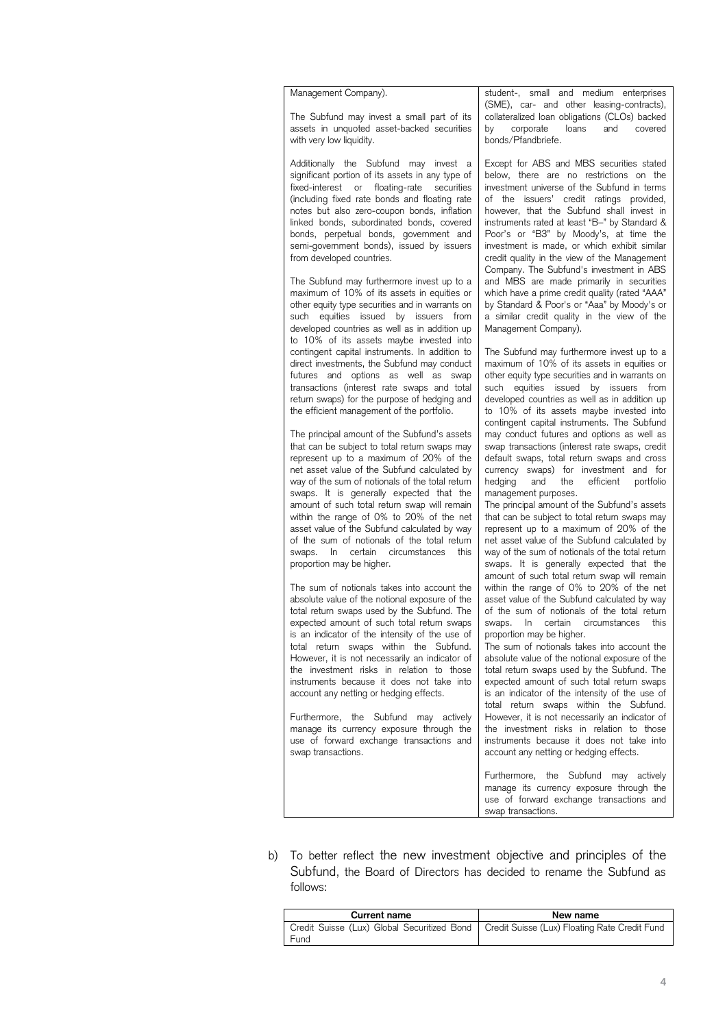The Subfund may invest a small part of its with very low liquidity.  $\blacksquare$  bonds/Pfandbriefe.

significant portion of its assets in any type of fixed-interest or floating-rate securities investment universe of the Subfund in terms (including fixed rate bonds and floating rate  $\vert$  of the issuers' credit ratings provided, notes but also zero-coupon bonds, inflation | however, that the Subfund shall invest in linked bonds, subordinated bonds, covered instruments rated at least "B–" by Standard & bonds, perpetual bonds, government and Poor's or "B3" by Moody's, at time the semi-government bonds), issued by issuers investment is made, or which exhibit similar

The Subfund may furthermore invest up to a maximum of 10% of its assets in equities or  $\mid$  which have a prime credit quality (rated "AAA" other equity type securities and in warrants on | by Standard & Poor's or "Aaa" by Moody's or such equities issued by issuers from developed countries as well as in addition up | Management Company). to 10% of its assets maybe invested into contingent capital instruments. In addition to direct investments, the Subfund may conduct futures and options as well as swap transactions (interest rate swaps and total return swaps) for the purpose of hedging and  $\vert$  developed countries as well as in addition up the efficient management of the portfolio. The Subfund may furthermore invest up to a  $\mid$  and MBS are made primarily in securities such equities issued by issuers from a similar credit quality in the view of the contingent capital instruments. In addition to | The Subfund may furthermore invest up to a direct investments, the Subfund may conduct | maximum of 10% of its assets in equities or futures and options as well as swap other equity type securities and in warrants on transactions (interest rate swaps and total such equities issued by issuers from the efficient management of the portfolio.  $\qquad$  to 10% of its assets maybe invested into

The principal amount of the Subfund's assets that can be subject to total return swaps may represent up to a maximum of 20% of the net asset value of the Subfund calculated by way of the sum of notionals of the total return swaps. It is generally expected that the management purposes. amount of such total return swap will remain within the range of 0% to 20% of the net asset value of the Subfund calculated by way of the sum of notionals of the total return swaps. In certain circumstances this proportion may be higher. amount of such total return swap will remain | The principal amount of the Subfund's assets within the range of 0% to 20% of the net  $\vert$  that can be subject to total return swaps may swaps. In certain circumstances this way of the sum of notionals of the total return

The sum of notionals takes into account the absolute value of the notional exposure of the total return swaps used by the Subfund. The expected amount of such total return swaps is an indicator of the intensity of the use of  $\vert$  proportion may be higher. total return swaps within the Subfund. However, it is not necessarily an indicator of the investment risks in relation to those total return swaps used by the Subfund. The instruments because it does not take into account any netting or hedging effects. The sum of notionals takes into account the  $\mid$  within the range of 0% to 20% of the net absolute value of the notional exposure of the  $\vert$  asset value of the Subfund calculated by way total return swaps used by the Subfund. The  $\vert$  of the sum of notionals of the total return expected amount of such total return swaps  $|$  swaps. In certain circumstances this total return swaps within the Subfund. The sum of notionals takes into account the However, it is not necessarily an indicator of  $\vert$  absolute value of the notional exposure of the instruments because it does not take into expected amount of such total return swaps account any netting or hedging effects.  $\qquad \qquad$  is an indicator of the intensity of the use of

Furthermore, the Subfund may actively manage its currency exposure through the use of forward exchange transactions and instruments because it does not take into Furthermore, the Subfund may actively However, it is not necessarily an indicator of manage its currency exposure through the  $\vert$  the investment risks in relation to those swap transactions.  $\qquad \qquad$  account any netting or hedging effects.

assets in unquoted asset-backed securities | by corporate loans and covered Management Company). student-, small and medium enterprises (SME), car- and other leasing-contracts), The Subfund may invest a small part of its | collateralized loan obligations (CLOs) backed by corporate loans and<br>bonds/Pfandbriefe.

Additionally the Subfund may invest a Except for ABS and MBS securities stated significant portion of its assets in any type of below, there are no restrictions on the investment universe of the Subfund in terms of the issuers' credit ratings provided, however, that the Subfund shall invest in instruments rated at least "B-" by Standard & Poor's or "B3" by Moody's, at time the investment is made, or which exhibit similar from developed countries. credit quality in the view of the Management Company. The Subfund's investment in ABS which have a prime credit quality (rated "AAA" by Standard & Poor's or "Aaa" by Moody's or

developed countries as well as in addition up contingent capital instruments. The Subfund The principal amount of the Subfund's assets | may conduct futures and options as well as that can be subject to total return swaps may  $\mid$  swap transactions (interest rate swaps, credit represent up to a maximum of 20% of the  $\vert$  default swaps, total return swaps and cross net asset value of the Subfund calculated by | currency swaps) for investment and for way of the sum of notionals of the total return | hedging and the efficient portfolio

asset value of the Subfund calculated by way  $\mid$  represent up to a maximum of 20% of the of the sum of notionals of the total return  $\vert$  net asset value of the Subfund calculated by proportion may be higher. state of the swaps. It is generally expected that the amount of such total return swap will remain proportion may be higher.

> total return swaps used by the Subfund. The total return swaps within the Subfund. instruments because it does not take into

> Furthermore, the Subfund may actively manage its currency exposure through the use of forward exchange transactions and swap transactions.

 b) To better reflect the new investment objective and principles of the Subfund, the Board of Directors has decided to rename the Subfund as follows:

| <b>Current name</b>                                                                         | New name |  |
|---------------------------------------------------------------------------------------------|----------|--|
| Credit Suisse (Lux) Global Securitized Bond   Credit Suisse (Lux) Floating Rate Credit Fund |          |  |
| Fund                                                                                        |          |  |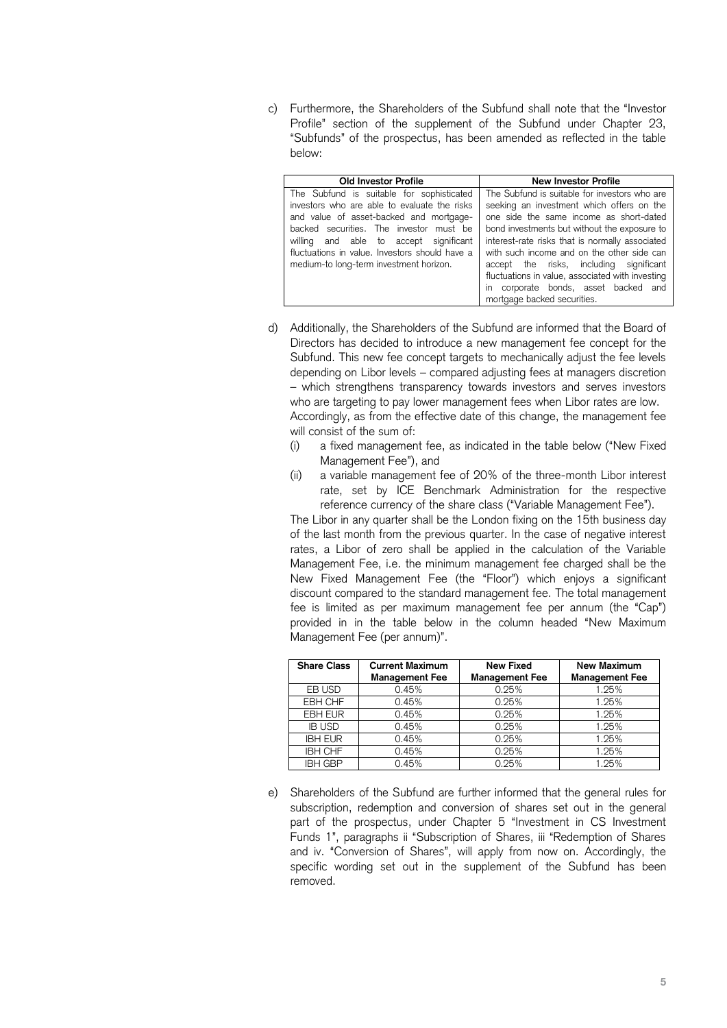c) Furthermore, the Shareholders of the Subfund shall note that the "Investor Profile" section of the supplement of the Subfund under Chapter 23, "Subfunds" of the prospectus, has been amended as reflected in the table below:

| <b>Old Investor Profile</b>                    | <b>New Investor Profile</b>                      |
|------------------------------------------------|--------------------------------------------------|
| The Subfund is suitable for sophisticated      | The Subfund is suitable for investors who are    |
| investors who are able to evaluate the risks   | seeking an investment which offers on the        |
| and value of asset-backed and mortgage-        | one side the same income as short-dated          |
| backed securities. The investor must be        | bond investments but without the exposure to     |
| willing and able to accept significant         | interest-rate risks that is normally associated  |
| fluctuations in value. Investors should have a | with such income and on the other side can       |
| medium-to long-term investment horizon.        | accept the risks, including significant          |
|                                                | fluctuations in value, associated with investing |
|                                                | in corporate bonds, asset backed and             |
|                                                | mortgage backed securities.                      |

- <span id="page-4-0"></span> d) Additionally, the Shareholders of the Subfund are informed that the Board of Directors has decided to introduce a new management fee concept for the Subfund. This new fee concept targets to mechanically adjust the fee levels depending on Libor levels – compared adjusting fees at managers discretion – which strengthens transparency towards investors and serves investors who are targeting to pay lower management fees when Libor rates are low. Accordingly, as from the effective date of this change, the management fee will consist of the sum of:
	- (i) a fixed management fee, as indicated in the table below ("New Fixed Management Fee"), and
	- (ii) a variable management fee of 20% of the three-month Libor interest rate, set by ICE Benchmark Administration for the respective reference currency of the share class ("Variable Management Fee").

 The Libor in any quarter shall be the London fixing on the 15th business day of the last month from the previous quarter. In the case of negative interest rates, a Libor of zero shall be applied in the calculation of the Variable Management Fee, i.e. the minimum management fee charged shall be the New Fixed Management Fee (the "Floor") which enjoys a significant fee is limited as per maximum management fee per annum (the "Cap") provided in in the table below in the column headed "New Maximum discount compared to the standard management fee. The total management Management Fee (per annum)".

| <b>Share Class</b> | <b>Current Maximum</b><br><b>Management Fee</b> | <b>New Fixed</b><br><b>Management Fee</b> | <b>New Maximum</b><br><b>Management Fee</b> |
|--------------------|-------------------------------------------------|-------------------------------------------|---------------------------------------------|
| EB USD             | 0.45%                                           | 0.25%                                     | 1.25%                                       |
| EBH CHF            | 0.45%                                           | 0.25%                                     | 1.25%                                       |
| <b>EBH EUR</b>     | 0.45%                                           | 0.25%                                     | 1.25%                                       |
| <b>IB USD</b>      | 0.45%                                           | 0.25%                                     | 1.25%                                       |
| <b>IBH EUR</b>     | 0.45%                                           | 0.25%                                     | 1.25%                                       |
| <b>IBH CHF</b>     | 0.45%                                           | 0.25%                                     | 1.25%                                       |
| <b>IBH GBP</b>     | 0.45%                                           | 0.25%                                     | 1.25%                                       |

 e) Shareholders of the Subfund are further informed that the general rules for subscription, redemption and conversion of shares set out in the general part of the prospectus, under Chapter 5 "Investment in CS Investment Funds 1", paragraphs ii "Subscription of Shares, iii "Redemption of Shares and iv. "Conversion of Shares", will apply from now on. Accordingly, the specific wording set out in the supplement of the Subfund has been removed.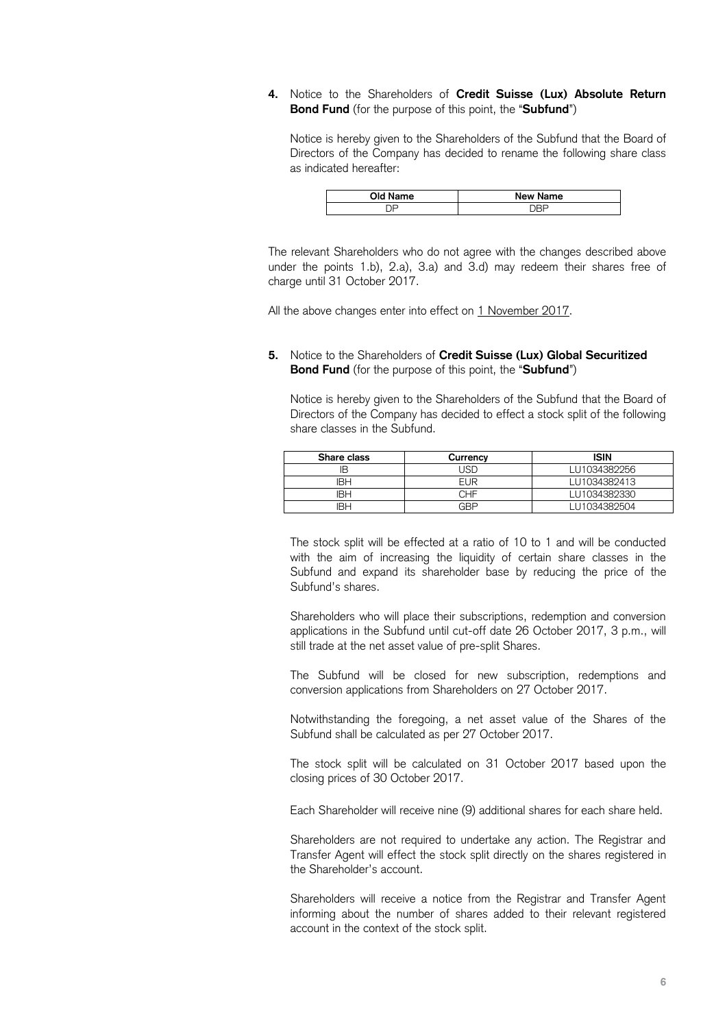## **4.** Notice to the Shareholders of **Credit Suisse (Lux) Absolute Return Bond Fund** (for the purpose of this point, the "**Subfund**")

 Notice is hereby given to the Shareholders of the Subfund that the Board of Directors of the Company has decided to rename the following share class as indicated hereafter:

| Old M | New  |
|-------|------|
| lame  | Name |
|       |      |

 The relevant Shareholders who do not agree with the changes described above under the points [1](#page-0-0)[.b\),](#page-0-1) [2.](#page-1-0)[a\),](#page-1-1) [3.](#page-2-0)[a\)](#page-2-1) and [3.](#page-2-0)[d\)](#page-4-0) may redeem their shares free of charge until 31 October 2017.

All the above changes enter into effect on 1 November 2017.

 **5.** Notice to the Shareholders of **Credit Suisse (Lux) Global Securitized Bond Fund** (for the purpose of this point, the "**Subfund**")

 Notice is hereby given to the Shareholders of the Subfund that the Board of Directors of the Company has decided to effect a stock split of the following share classes in the Subfund.

| Share class | Currency   | ISIN         |
|-------------|------------|--------------|
|             | . ISF      | LU1034382256 |
| IBH         | <b>EUR</b> | LU1034382413 |
| IBH         | CHF        | LU1034382330 |
| IRH         | GRF        | LU1034382504 |

 The stock split will be effected at a ratio of 10 to 1 and will be conducted with the aim of increasing the liquidity of certain share classes in the Subfund and expand its shareholder base by reducing the price of the Subfund's shares.

 Shareholders who will place their subscriptions, redemption and conversion applications in the Subfund until cut-off date 26 October 2017, 3 p.m., will still trade at the net asset value of pre-split Shares.

 The Subfund will be closed for new subscription, redemptions and conversion applications from Shareholders on 27 October 2017.

 Notwithstanding the foregoing, a net asset value of the Shares of the Subfund shall be calculated as per 27 October 2017.

 The stock split will be calculated on 31 October 2017 based upon the closing prices of 30 October 2017.

Each Shareholder will receive nine (9) additional shares for each share held.

 Shareholders are not required to undertake any action. The Registrar and Transfer Agent will effect the stock split directly on the shares registered in the Shareholder's account.

 Shareholders will receive a notice from the Registrar and Transfer Agent informing about the number of shares added to their relevant registered account in the context of the stock split.